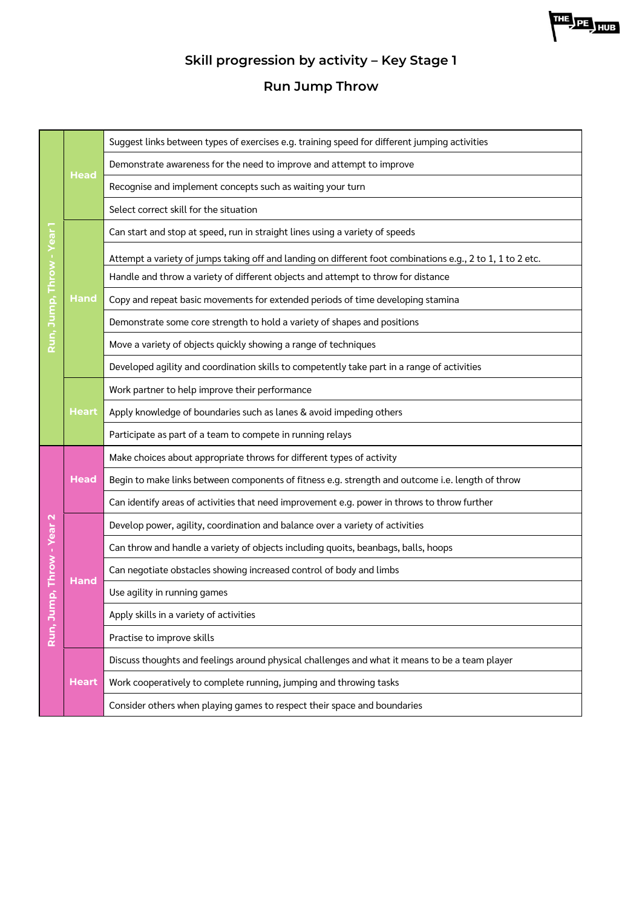

# **Skill progression by activity – Key Stage 1**

**Run Jump Throw**

|                    | Head         | Suggest links between types of exercises e.g. training speed for different jumping activities              |
|--------------------|--------------|------------------------------------------------------------------------------------------------------------|
|                    |              | Demonstrate awareness for the need to improve and attempt to improve                                       |
|                    |              | Recognise and implement concepts such as waiting your turn                                                 |
|                    |              | Select correct skill for the situation                                                                     |
| ear                | <b>Hand</b>  | Can start and stop at speed, run in straight lines using a variety of speeds                               |
|                    |              | Attempt a variety of jumps taking off and landing on different foot combinations e.g., 2 to 1, 1 to 2 etc. |
| mp, Throw          |              | Handle and throw a variety of different objects and attempt to throw for distance                          |
|                    |              | Copy and repeat basic movements for extended periods of time developing stamina                            |
|                    |              | Demonstrate some core strength to hold a variety of shapes and positions                                   |
| Run, Ju            |              | Move a variety of objects quickly showing a range of techniques                                            |
|                    |              | Developed agility and coordination skills to competently take part in a range of activities                |
|                    |              | Work partner to help improve their performance                                                             |
|                    | Heart        | Apply knowledge of boundaries such as lanes & avoid impeding others                                        |
|                    |              | Participate as part of a team to compete in running relays                                                 |
|                    | <b>Head</b>  | Make choices about appropriate throws for different types of activity                                      |
|                    |              | Begin to make links between components of fitness e.g. strength and outcome i.e. length of throw           |
|                    |              | Can identify areas of activities that need improvement e.g. power in throws to throw further               |
|                    |              | Develop power, agility, coordination and balance over a variety of activities                              |
|                    | <b>Hand</b>  | Can throw and handle a variety of objects including quoits, beanbags, balls, hoops                         |
| mp, Throw - Year 2 |              | Can negotiate obstacles showing increased control of body and limbs                                        |
|                    |              | Use agility in running games                                                                               |
|                    |              | Apply skills in a variety of activities                                                                    |
| Run, J             |              | Practise to improve skills                                                                                 |
|                    | <b>Heart</b> | Discuss thoughts and feelings around physical challenges and what it means to be a team player             |
|                    |              | Work cooperatively to complete running, jumping and throwing tasks                                         |
|                    |              | Consider others when playing games to respect their space and boundaries                                   |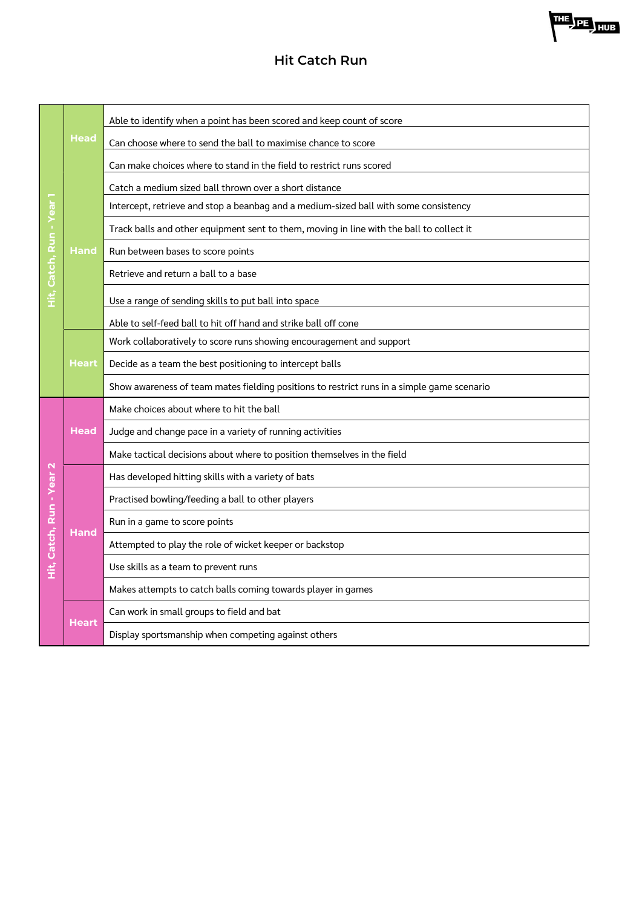### **Hit Catch Run**

|                   | <b>Head</b>  | Able to identify when a point has been scored and keep count of score                      |
|-------------------|--------------|--------------------------------------------------------------------------------------------|
|                   |              | Can choose where to send the ball to maximise chance to score                              |
|                   |              | Can make choices where to stand in the field to restrict runs scored                       |
|                   | <b>Hand</b>  | Catch a medium sized ball thrown over a short distance                                     |
|                   |              | Intercept, retrieve and stop a beanbag and a medium-sized ball with some consistency       |
| Catch, Run - Yea  |              | Track balls and other equipment sent to them, moving in line with the ball to collect it   |
|                   |              | Run between bases to score points                                                          |
|                   |              | Retrieve and return a ball to a base                                                       |
| т                 |              | Use a range of sending skills to put ball into space                                       |
|                   |              | Able to self-feed ball to hit off hand and strike ball off cone                            |
|                   |              | Work collaboratively to score runs showing encouragement and support                       |
|                   | <b>Heart</b> | Decide as a team the best positioning to intercept balls                                   |
|                   |              | Show awareness of team mates fielding positions to restrict runs in a simple game scenario |
|                   | <b>Head</b>  | Make choices about where to hit the ball                                                   |
|                   |              | Judge and change pace in a variety of running activities                                   |
|                   |              |                                                                                            |
|                   |              | Make tactical decisions about where to position themselves in the field                    |
|                   |              | Has developed hitting skills with a variety of bats                                        |
|                   |              | Practised bowling/feeding a ball to other players                                          |
|                   |              | Run in a game to score points                                                              |
|                   | <b>Hand</b>  | Attempted to play the role of wicket keeper or backstop                                    |
| Catch, Run - Year |              | Use skills as a team to prevent runs                                                       |
| .<br>Î            |              | Makes attempts to catch balls coming towards player in games                               |
|                   | <b>Heart</b> | Can work in small groups to field and bat                                                  |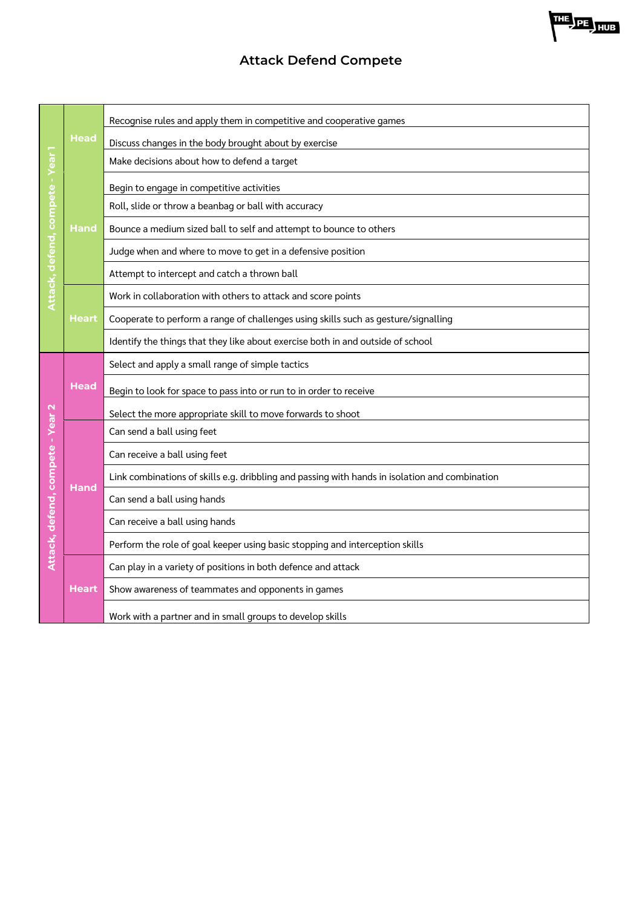### **Attack Defend Compete**

|                                  | <b>Head</b>  | Recognise rules and apply them in competitive and cooperative games                            |
|----------------------------------|--------------|------------------------------------------------------------------------------------------------|
|                                  |              | Discuss changes in the body brought about by exercise                                          |
|                                  |              | Make decisions about how to defend a target                                                    |
|                                  | <b>Hand</b>  | Begin to engage in competitive activities                                                      |
|                                  |              | Roll, slide or throw a beanbag or ball with accuracy                                           |
| Attack, defend, compete - Year   |              | Bounce a medium sized ball to self and attempt to bounce to others                             |
|                                  |              | Judge when and where to move to get in a defensive position                                    |
|                                  |              | Attempt to intercept and catch a thrown ball                                                   |
|                                  | <b>Heart</b> | Work in collaboration with others to attack and score points                                   |
|                                  |              | Cooperate to perform a range of challenges using skills such as gesture/signalling             |
|                                  |              | Identify the things that they like about exercise both in and outside of school                |
|                                  | <b>Head</b>  | Select and apply a small range of simple tactics                                               |
|                                  |              | Begin to look for space to pass into or run to in order to receive                             |
|                                  |              | Select the more appropriate skill to move forwards to shoot                                    |
| Attack, defend, compete - Year 2 |              | Can send a ball using feet                                                                     |
|                                  | <b>Hand</b>  | Can receive a ball using feet                                                                  |
|                                  |              | Link combinations of skills e.g. dribbling and passing with hands in isolation and combination |
|                                  |              | Can send a ball using hands                                                                    |
|                                  |              | Can receive a ball using hands                                                                 |
|                                  |              | Perform the role of goal keeper using basic stopping and interception skills                   |
|                                  |              | Can play in a variety of positions in both defence and attack                                  |
|                                  | <b>Heart</b> | Show awareness of teammates and opponents in games                                             |
|                                  |              | Work with a partner and in small groups to develop skills                                      |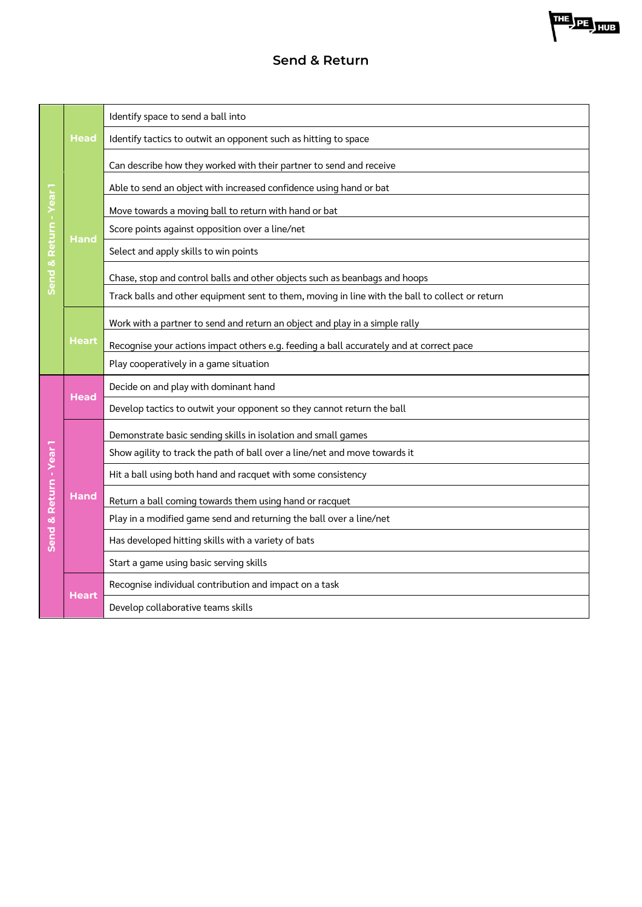### **Send & Return**

|                        | Head         | Identify space to send a ball into                                                              |
|------------------------|--------------|-------------------------------------------------------------------------------------------------|
|                        |              | Identify tactics to outwit an opponent such as hitting to space                                 |
|                        |              | Can describe how they worked with their partner to send and receive                             |
|                        | <b>Hand</b>  | Able to send an object with increased confidence using hand or bat                              |
|                        |              | Move towards a moving ball to return with hand or bat                                           |
| & Return - Year        |              | Score points against opposition over a line/net                                                 |
|                        |              | Select and apply skills to win points                                                           |
| Send                   |              | Chase, stop and control balls and other objects such as beanbags and hoops                      |
|                        |              | Track balls and other equipment sent to them, moving in line with the ball to collect or return |
|                        |              | Work with a partner to send and return an object and play in a simple rally                     |
|                        | <u>Heart</u> | Recognise your actions impact others e.g. feeding a ball accurately and at correct pace         |
|                        |              | Play cooperatively in a game situation                                                          |
|                        | <b>Head</b>  | Decide on and play with dominant hand                                                           |
|                        |              | Develop tactics to outwit your opponent so they cannot return the ball                          |
|                        | <b>Hand</b>  | Demonstrate basic sending skills in isolation and small games                                   |
|                        |              | Show agility to track the path of ball over a line/net and move towards it                      |
| Send & Return - Year 1 |              | Hit a ball using both hand and racquet with some consistency                                    |
|                        |              | Return a ball coming towards them using hand or racquet                                         |
|                        |              | Play in a modified game send and returning the ball over a line/net                             |
|                        |              | Has developed hitting skills with a variety of bats                                             |
|                        |              | Start a game using basic serving skills                                                         |
|                        | Heart        | Recognise individual contribution and impact on a task                                          |
|                        |              | Develop collaborative teams skills                                                              |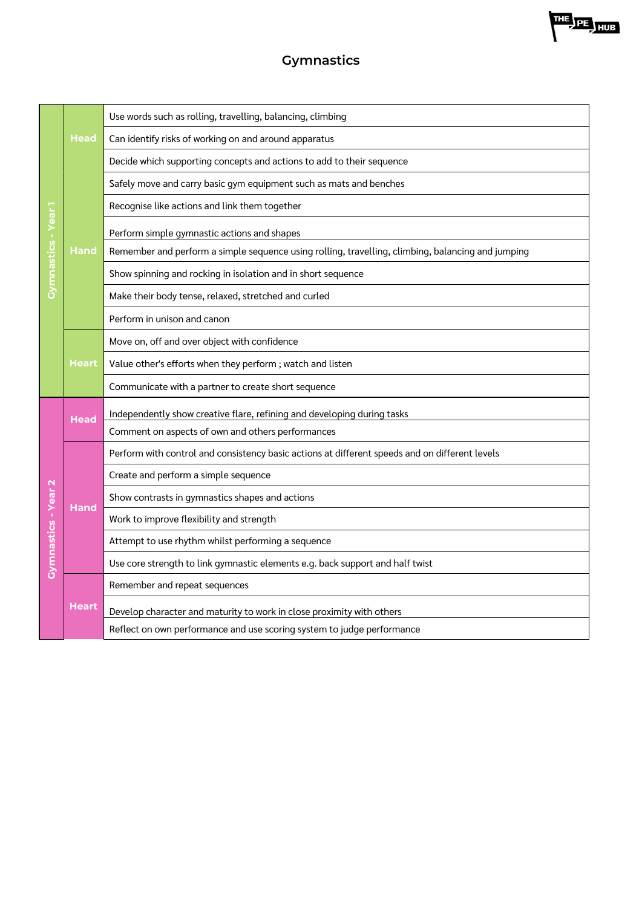## **Gymnastics**

|                     | Head         | Use words such as rolling, travelling, balancing, climbing                                        |
|---------------------|--------------|---------------------------------------------------------------------------------------------------|
|                     |              | Can identify risks of working on and around apparatus                                             |
|                     |              | Decide which supporting concepts and actions to add to their sequence                             |
|                     | Hand         | Safely move and carry basic gym equipment such as mats and benches                                |
| ēā                  |              | Recognise like actions and link them together                                                     |
|                     |              | Perform simple gymnastic actions and shapes                                                       |
|                     |              | Remember and perform a simple sequence using rolling, travelling, climbing, balancing and jumping |
| Gymnastics - Y      |              | Show spinning and rocking in isolation and in short sequence                                      |
|                     |              | Make their body tense, relaxed, stretched and curled                                              |
|                     |              | Perform in unison and canon                                                                       |
|                     |              | Move on, off and over object with confidence                                                      |
|                     | Heart        | Value other's efforts when they perform; watch and listen                                         |
|                     |              | Communicate with a partner to create short sequence                                               |
|                     | <b>Head</b>  | Independently show creative flare, refining and developing during tasks                           |
|                     |              | Comment on aspects of own and others performances                                                 |
|                     |              | Perform with control and consistency basic actions at different speeds and on different levels    |
|                     | <b>Hand</b>  | Create and perform a simple sequence                                                              |
|                     |              | Show contrasts in gymnastics shapes and actions                                                   |
| Gymnastics - Year 2 |              | Work to improve flexibility and strength                                                          |
|                     |              | Attempt to use rhythm whilst performing a sequence                                                |
|                     |              | Use core strength to link gymnastic elements e.g. back support and half twist                     |
|                     | <b>Heart</b> | Remember and repeat sequences                                                                     |
|                     |              | Develop character and maturity to work in close proximity with others                             |
|                     |              | Reflect on own performance and use scoring system to judge performance                            |